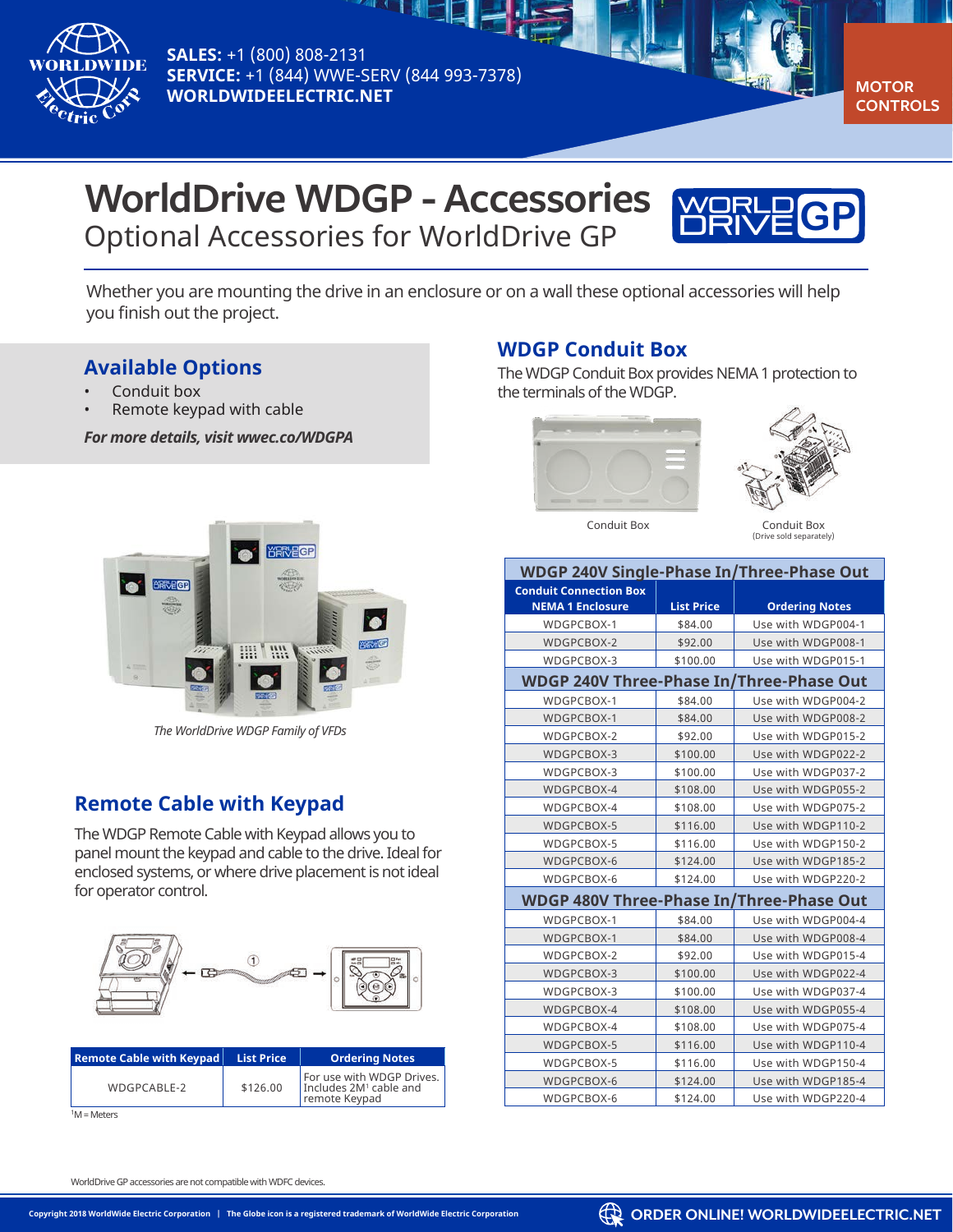

**SALES:** +1 (800) 808-2131 **SERVICE:** +1 (844) WWE-SERV (844 993-7378) **WORLDWIDEELECTRIC.NET**

主題

# **WorldDrive WDGP - Accessories** Optional Accessories for WorldDrive GP



Whether you are mounting the drive in an enclosure or on a wall these optional accessories will help you finish out the project.

## **Available Options**

- Conduit box
- Remote keypad with cable

*For more details, visit wwec.co/WDGPA*



*The WorldDrive WDGP Family of VFDs*

## **Remote Cable with Keypad**

The WDGP Remote Cable with Keypad allows you to panel mount the keypad and cable to the drive. Ideal for enclosed systems, or where drive placement is not ideal for operator control.



| <b>Remote Cable with Keypad</b> | <b>List Price</b> | <b>Ordering Notes</b>                                                            |
|---------------------------------|-------------------|----------------------------------------------------------------------------------|
| WDGPCABLE-2                     | \$126.00          | For use with WDGP Drives.<br>Includes 2M <sup>1</sup> cable and<br>remote Keypad |
| ${}^{1}M$ = Meters              |                   |                                                                                  |

## **WDGP Conduit Box**

The WDGP Conduit Box provides NEMA 1 protection to the terminals of the WDGP.





Conduit Box

Conduit Box (Drive sold separately)

| <b>WDGP 240V Single-Phase In/Three-Phase Out</b> |                   |                       |  |  |  |  |
|--------------------------------------------------|-------------------|-----------------------|--|--|--|--|
| <b>Conduit Connection Box</b>                    |                   |                       |  |  |  |  |
| <b>NEMA 1 Enclosure</b>                          | <b>List Price</b> | <b>Ordering Notes</b> |  |  |  |  |
| WDGPCBOX-1                                       | \$84.00           | Use with WDGP004-1    |  |  |  |  |
| WDGPCBOX-2                                       | \$92.00           | Use with WDGP008-1    |  |  |  |  |
| WDGPCBOX-3                                       | \$100.00          | Use with WDGP015-1    |  |  |  |  |
| <b>WDGP 240V Three-Phase In/Three-Phase Out</b>  |                   |                       |  |  |  |  |
| WDGPCBOX-1                                       | \$84.00           | Use with WDGP004-2    |  |  |  |  |
| WDGPCBOX-1                                       | \$84.00           | Use with WDGP008-2    |  |  |  |  |
| WDGPCBOX-2                                       | \$92.00           | Use with WDGP015-2    |  |  |  |  |
| WDGPCBOX-3                                       | \$100.00          | Use with WDGP022-2    |  |  |  |  |
| WDGPCBOX-3                                       | \$100.00          | Use with WDGP037-2    |  |  |  |  |
| WDGPCBOX-4                                       | \$108.00          | Use with WDGP055-2    |  |  |  |  |
| WDGPCBOX-4                                       | \$108.00          | Use with WDGP075-2    |  |  |  |  |
| WDGPCBOX-5                                       | \$116.00          | Use with WDGP110-2    |  |  |  |  |
| WDGPCBOX-5                                       | \$116.00          | Use with WDGP150-2    |  |  |  |  |
| WDGPCBOX-6                                       | \$124.00          | Use with WDGP185-2    |  |  |  |  |
| WDGPCBOX-6                                       | \$124.00          | Use with WDGP220-2    |  |  |  |  |
| <b>WDGP 480V Three-Phase In/Three-Phase Out</b>  |                   |                       |  |  |  |  |
| WDGPCBOX-1                                       | \$84.00           | Use with WDGP004-4    |  |  |  |  |
| WDGPCBOX-1                                       | \$84.00           | Use with WDGP008-4    |  |  |  |  |
| WDGPCBOX-2                                       | \$92.00           | Use with WDGP015-4    |  |  |  |  |
| WDGPCBOX-3                                       | \$100.00          | Use with WDGP022-4    |  |  |  |  |
| WDGPCBOX-3                                       | \$100.00          | Use with WDGP037-4    |  |  |  |  |
| WDGPCBOX-4                                       | \$108.00          | Use with WDGP055-4    |  |  |  |  |
| WDGPCBOX-4                                       | \$108.00          | Use with WDGP075-4    |  |  |  |  |
| WDGPCBOX-5                                       | \$116.00          | Use with WDGP110-4    |  |  |  |  |
| WDGPCBOX-5                                       | \$116.00          | Use with WDGP150-4    |  |  |  |  |
| WDGPCBOX-6                                       | \$124.00          | Use with WDGP185-4    |  |  |  |  |
| WDGPCBOX-6                                       | \$124.00          | Use with WDGP220-4    |  |  |  |  |